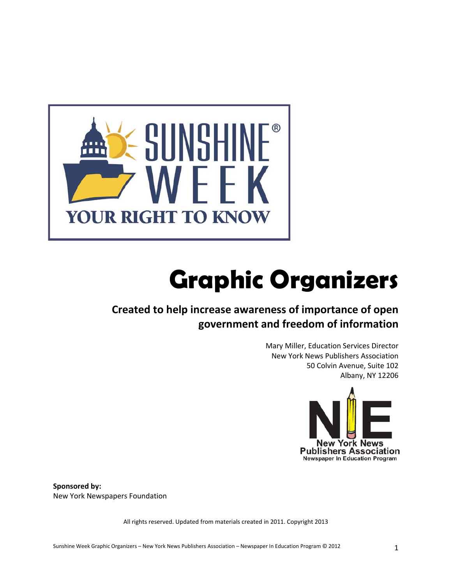

# **Graphic Organizers**

### **Created to help increase awareness of importance of open government and freedom of information**

Mary Miller, Education Services Director New York News Publishers Association 50 Colvin Avenue, Suite 102 Albany, NY 12206



**Sponsored by:** New York Newspapers Foundation

All rights reserved. Updated from materials created in 2011. Copyright 2013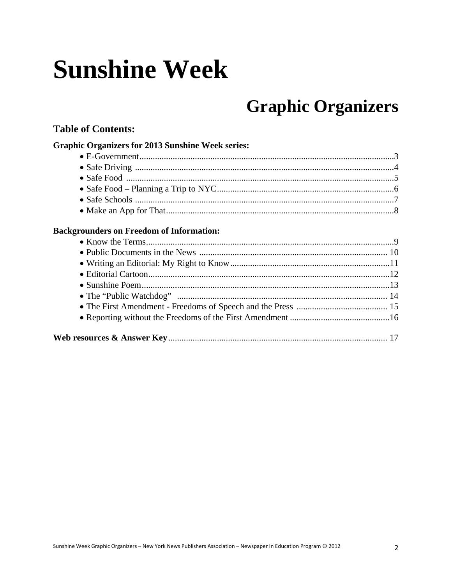# **Sunshine Week**

## **Graphic Organizers**

### **Table of Contents:**

| <b>Graphic Organizers for 2013 Sunshine Week series:</b> |  |
|----------------------------------------------------------|--|
|                                                          |  |
|                                                          |  |
|                                                          |  |
|                                                          |  |
|                                                          |  |
|                                                          |  |

#### **Backgrounders on Freedom of Information:**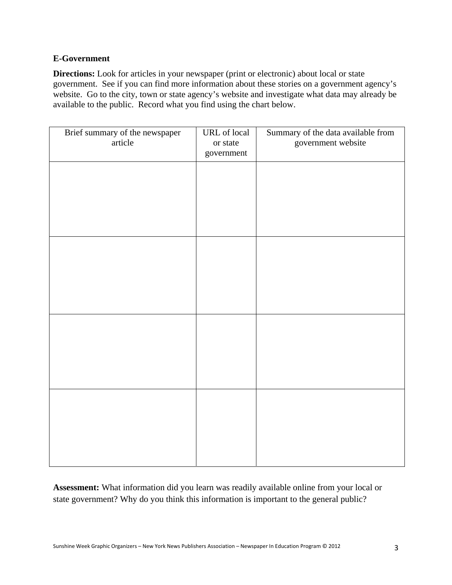#### **E-Government**

**Directions:** Look for articles in your newspaper (print or electronic) about local or state government. See if you can find more information about these stories on a government agency's website. Go to the city, town or state agency's website and investigate what data may already be available to the public. Record what you find using the chart below.

| Brief summary of the newspaper<br>article | <b>URL</b> of local<br>or state<br>government | Summary of the data available from<br>government website |
|-------------------------------------------|-----------------------------------------------|----------------------------------------------------------|
|                                           |                                               |                                                          |
|                                           |                                               |                                                          |
|                                           |                                               |                                                          |
|                                           |                                               |                                                          |
|                                           |                                               |                                                          |
|                                           |                                               |                                                          |
|                                           |                                               |                                                          |
|                                           |                                               |                                                          |

**Assessment:** What information did you learn was readily available online from your local or state government? Why do you think this information is important to the general public?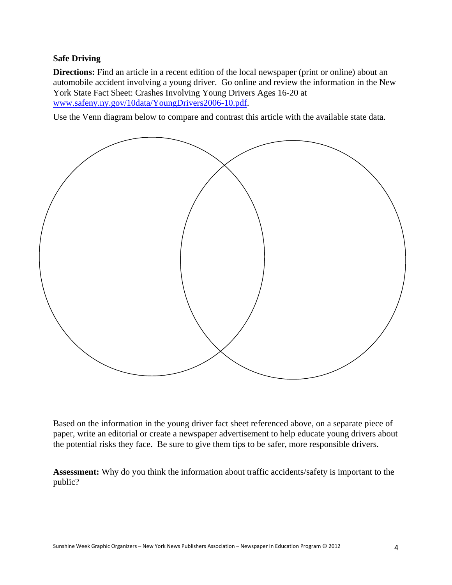#### **Safe Driving**

**Directions:** Find an article in a recent edition of the local newspaper (print or online) about an automobile accident involving a young driver. Go online and review the information in the New York State Fact Sheet: Crashes Involving Young Drivers Ages 16‐20 at www.safeny.ny.gov/10data/YoungDrivers2006-10.pdf.

Use the Venn diagram below to compare and contrast this article with the available state data.



Based on the information in the young driver fact sheet referenced above, on a separate piece of paper, write an editorial or create a newspaper advertisement to help educate young drivers about the potential risks they face. Be sure to give them tips to be safer, more responsible drivers.

**Assessment:** Why do you think the information about traffic accidents/safety is important to the public?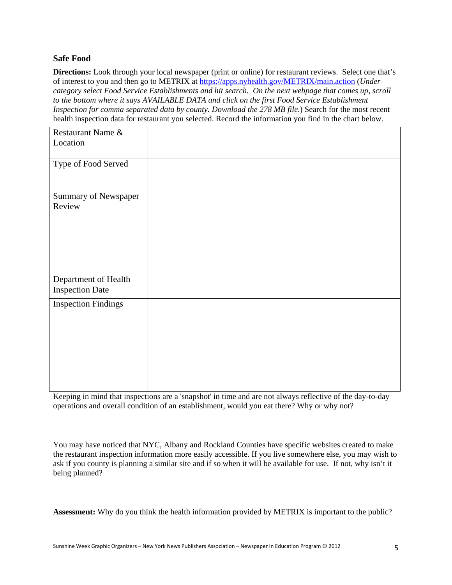#### **Safe Food**

**Directions:** Look through your local newspaper (print or online) for restaurant reviews. Select one that's of interest to you and then go to METRIX at https://apps.nyhealth.gov/METRIX/main.action (*Under category select Food Service Establishments and hit search. On the next webpage that comes up, scroll to the bottom where it says AVAILABLE DATA and click on the first Food Service Establishment Inspection for comma separated data by county. Download the 278 MB file.*) Search for the most recent health inspection data for restaurant you selected. Record the information you find in the chart below.

| Restaurant Name &                              |  |
|------------------------------------------------|--|
| Location                                       |  |
| Type of Food Served                            |  |
| Summary of Newspaper<br>Review                 |  |
| Department of Health<br><b>Inspection Date</b> |  |
| <b>Inspection Findings</b>                     |  |

Keeping in mind that inspections are a 'snapshot' in time and are not always reflective of the day-to-day operations and overall condition of an establishment, would you eat there? Why or why not?

You may have noticed that NYC, Albany and Rockland Counties have specific websites created to make the restaurant inspection information more easily accessible. If you live somewhere else, you may wish to ask if you county is planning a similar site and if so when it will be available for use. If not, why isn't it being planned?

**Assessment:** Why do you think the health information provided by METRIX is important to the public?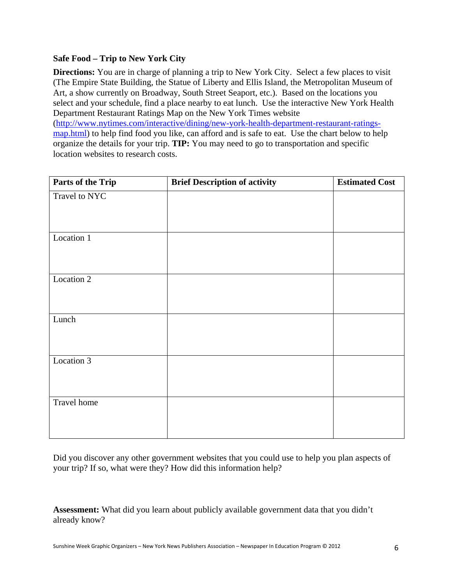#### **Safe Food – Trip to New York City**

**Directions:** You are in charge of planning a trip to New York City. Select a few places to visit (The Empire State Building, the Statue of Liberty and Ellis Island, the Metropolitan Museum of Art, a show currently on Broadway, South Street Seaport, etc.). Based on the locations you select and your schedule, find a place nearby to eat lunch. Use the interactive New York Health Department Restaurant Ratings Map on the New York Times website (http://www.nytimes.com/interactive/dining/new-york-health-department-restaurant-ratingsmap.html) to help find food you like, can afford and is safe to eat. Use the chart below to help organize the details for your trip. **TIP:** You may need to go to transportation and specific location websites to research costs.

| Parts of the Trip | <b>Brief Description of activity</b> | <b>Estimated Cost</b> |
|-------------------|--------------------------------------|-----------------------|
| Travel to NYC     |                                      |                       |
|                   |                                      |                       |
|                   |                                      |                       |
| Location 1        |                                      |                       |
|                   |                                      |                       |
|                   |                                      |                       |
| Location 2        |                                      |                       |
|                   |                                      |                       |
|                   |                                      |                       |
| Lunch             |                                      |                       |
|                   |                                      |                       |
|                   |                                      |                       |
| Location 3        |                                      |                       |
|                   |                                      |                       |
|                   |                                      |                       |
| Travel home       |                                      |                       |
|                   |                                      |                       |
|                   |                                      |                       |

Did you discover any other government websites that you could use to help you plan aspects of your trip? If so, what were they? How did this information help?

**Assessment:** What did you learn about publicly available government data that you didn't already know?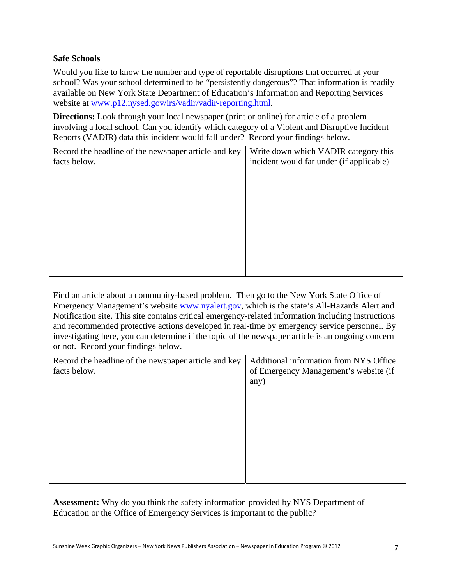#### **Safe Schools**

Would you like to know the number and type of reportable disruptions that occurred at your school? Was your school determined to be "persistently dangerous"? That information is readily available on New York State Department of Education's Information and Reporting Services website at www.p12.nysed.gov/irs/vadir/vadir-reporting.html.

**Directions:** Look through your local newspaper (print or online) for article of a problem involving a local school. Can you identify which category of a Violent and Disruptive Incident Reports (VADIR) data this incident would fall under? Record your findings below.

| Record the headline of the newspaper article and key<br>facts below. | Write down which VADIR category this<br>incident would far under (if applicable) |
|----------------------------------------------------------------------|----------------------------------------------------------------------------------|
|                                                                      |                                                                                  |
|                                                                      |                                                                                  |
|                                                                      |                                                                                  |
|                                                                      |                                                                                  |
|                                                                      |                                                                                  |
|                                                                      |                                                                                  |

Find an article about a community-based problem. Then go to the New York State Office of Emergency Management's website www.nyalert.gov, which is the state's All-Hazards Alert and Notification site. This site contains critical emergency-related information including instructions and recommended protective actions developed in real-time by emergency service personnel. By investigating here, you can determine if the topic of the newspaper article is an ongoing concern or not. Record your findings below.

| Record the headline of the newspaper article and key<br>facts below. | Additional information from NYS Office<br>of Emergency Management's website (if<br>any) |
|----------------------------------------------------------------------|-----------------------------------------------------------------------------------------|
|                                                                      |                                                                                         |
|                                                                      |                                                                                         |

**Assessment:** Why do you think the safety information provided by NYS Department of Education or the Office of Emergency Services is important to the public?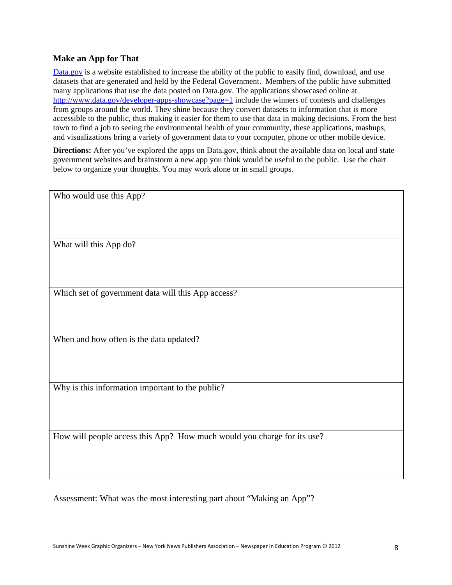#### **Make an App for That**

Data.gov is a website established to increase the ability of the public to easily find, download, and use datasets that are generated and held by the Federal Government. Members of the public have submitted many applications that use the data posted on Data.gov. The applications showcased online at http://www.data.gov/developer-apps-showcase?page=1 include the winners of contests and challenges from groups around the world. They shine because they convert datasets to information that is more accessible to the public, thus making it easier for them to use that data in making decisions. From the best town to find a job to seeing the environmental health of your community, these applications, mashups, and visualizations bring a variety of government data to your computer, phone or other mobile device.

**Directions:** After you've explored the apps on Data.gov, think about the available data on local and state government websites and brainstorm a new app you think would be useful to the public. Use the chart below to organize your thoughts. You may work alone or in small groups.

| Who would use this App?                                                 |
|-------------------------------------------------------------------------|
|                                                                         |
|                                                                         |
|                                                                         |
|                                                                         |
|                                                                         |
|                                                                         |
| What will this App do?                                                  |
|                                                                         |
|                                                                         |
|                                                                         |
|                                                                         |
|                                                                         |
|                                                                         |
| Which set of government data will this App access?                      |
|                                                                         |
|                                                                         |
|                                                                         |
|                                                                         |
|                                                                         |
| When and how often is the data updated?                                 |
|                                                                         |
|                                                                         |
|                                                                         |
|                                                                         |
|                                                                         |
|                                                                         |
| Why is this information important to the public?                        |
|                                                                         |
|                                                                         |
|                                                                         |
|                                                                         |
|                                                                         |
|                                                                         |
| How will people access this App? How much would you charge for its use? |
|                                                                         |
|                                                                         |
|                                                                         |
|                                                                         |
|                                                                         |
|                                                                         |

Assessment: What was the most interesting part about "Making an App"?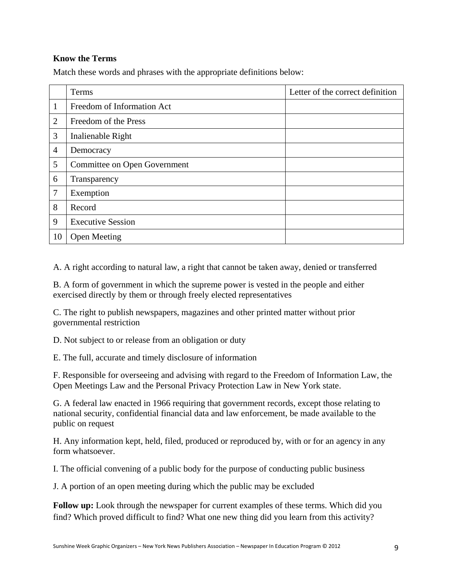#### **Know the Terms**

Match these words and phrases with the appropriate definitions below:

|                | Terms                        | Letter of the correct definition |
|----------------|------------------------------|----------------------------------|
| 1              | Freedom of Information Act   |                                  |
| $\overline{2}$ | Freedom of the Press         |                                  |
| 3              | Inalienable Right            |                                  |
| $\overline{4}$ | Democracy                    |                                  |
| 5              | Committee on Open Government |                                  |
| 6              | Transparency                 |                                  |
| 7              | Exemption                    |                                  |
| 8              | Record                       |                                  |
| 9              | <b>Executive Session</b>     |                                  |
| 10             | <b>Open Meeting</b>          |                                  |

A. A right according to natural law, a right that cannot be taken away, denied or transferred

B. A form of government in which the supreme power is vested in the people and either exercised directly by them or through freely elected representatives

C. The right to publish newspapers, magazines and other printed matter without prior governmental restriction

D. Not subject to or release from an obligation or duty

E. The full, accurate and timely disclosure of information

F. Responsible for overseeing and advising with regard to the Freedom of Information Law, the Open Meetings Law and the Personal Privacy Protection Law in New York state.

G. A federal law enacted in 1966 requiring that government records, except those relating to national security, confidential financial data and law enforcement, be made available to the public on request

H. Any information kept, held, filed, produced or reproduced by, with or for an agency in any form whatsoever.

I. The official convening of a public body for the purpose of conducting public business

J. A portion of an open meeting during which the public may be excluded

**Follow up:** Look through the newspaper for current examples of these terms. Which did you find? Which proved difficult to find? What one new thing did you learn from this activity?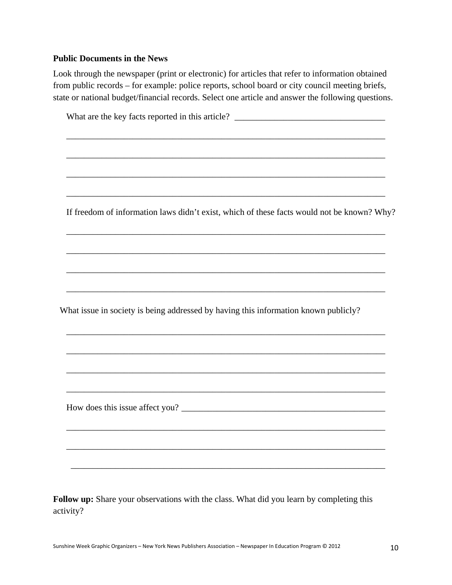#### **Public Documents in the News**

Look through the newspaper (print or electronic) for articles that refer to information obtained from public records – for example: police reports, school board or city council meeting briefs, state or national budget/financial records. Select one article and answer the following questions.

| What are the key facts reported in this article? ________________________________          |  |
|--------------------------------------------------------------------------------------------|--|
|                                                                                            |  |
|                                                                                            |  |
|                                                                                            |  |
| If freedom of information laws didn't exist, which of these facts would not be known? Why? |  |
|                                                                                            |  |
|                                                                                            |  |
|                                                                                            |  |
| What issue in society is being addressed by having this information known publicly?        |  |
| ,我们也不能在这里的时候,我们也不能在这里的时候,我们也不能在这里的时候,我们也不能会在这里的时候,我们也不能会在这里的时候,我们也不能会在这里的时候,我们也不           |  |
| ,我们也不能在这里的人,我们也不能在这里的人,我们也不能在这里的人,我们也不能在这里的人,我们也不能在这里的人,我们也不能在这里的人,我们也不能在这里的人,我们也          |  |
|                                                                                            |  |
|                                                                                            |  |
|                                                                                            |  |
|                                                                                            |  |

**Follow up:** Share your observations with the class. What did you learn by completing this activity?

\_\_\_\_\_\_\_\_\_\_\_\_\_\_\_\_\_\_\_\_\_\_\_\_\_\_\_\_\_\_\_\_\_\_\_\_\_\_\_\_\_\_\_\_\_\_\_\_\_\_\_\_\_\_\_\_\_\_\_\_\_\_\_\_\_\_\_\_\_\_\_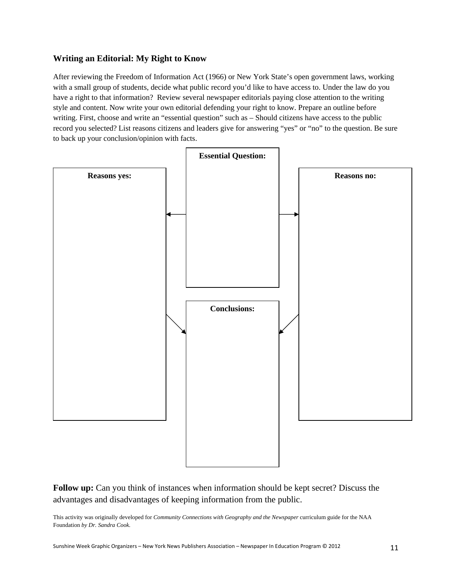#### **Writing an Editorial: My Right to Know**

After reviewing the Freedom of Information Act (1966) or New York State's open government laws, working with a small group of students, decide what public record you'd like to have access to. Under the law do you have a right to that information? Review several newspaper editorials paying close attention to the writing style and content. Now write your own editorial defending your right to know. Prepare an outline before writing. First, choose and write an "essential question" such as – Should citizens have access to the public record you selected? List reasons citizens and leaders give for answering "yes" or "no" to the question. Be sure to back up your conclusion/opinion with facts.



**Follow up:** Can you think of instances when information should be kept secret? Discuss the advantages and disadvantages of keeping information from the public.

This activity was originally developed for *Community Connections with Geography and the Newspaper* curriculum guide for the NAA Foundation *by Dr. Sandra Cook.*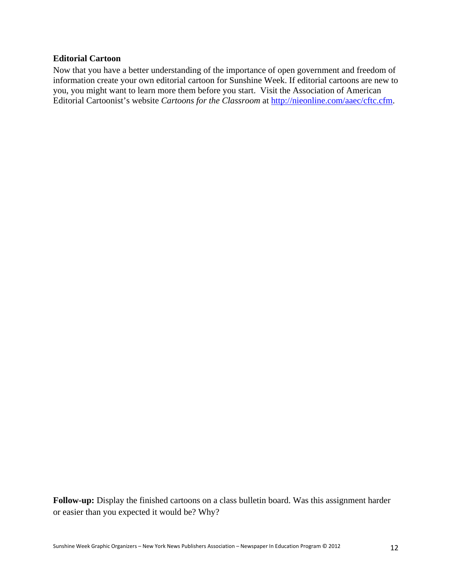#### **Editorial Cartoon**

Now that you have a better understanding of the importance of open government and freedom of information create your own editorial cartoon for Sunshine Week. If editorial cartoons are new to you, you might want to learn more them before you start. Visit the Association of American Editorial Cartoonist's website *Cartoons for the Classroom* at http://nieonline.com/aaec/cftc.cfm.

**Follow-up:** Display the finished cartoons on a class bulletin board. Was this assignment harder or easier than you expected it would be? Why?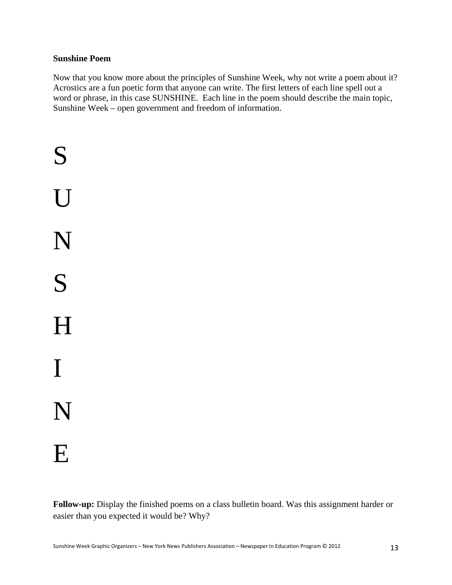#### **Sunshine Poem**

Now that you know more about the principles of Sunshine Week, why not write a poem about it? Acrostics are a fun poetic form that anyone can write. The first letters of each line spell out a word or phrase, in this case SUNSHINE. Each line in the poem should describe the main topic, Sunshine Week – open government and freedom of information.

S U N S H I N E

**Follow-up:** Display the finished poems on a class bulletin board. Was this assignment harder or easier than you expected it would be? Why?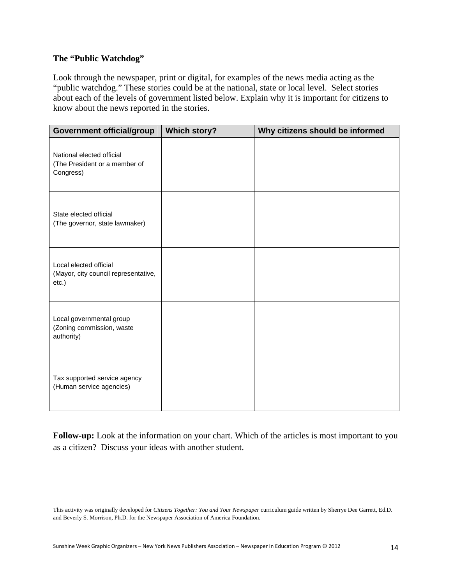#### **The "Public Watchdog"**

Look through the newspaper, print or digital, for examples of the news media acting as the "public watchdog." These stories could be at the national, state or local level. Select stories about each of the levels of government listed below. Explain why it is important for citizens to know about the news reported in the stories.

| <b>Government official/group</b>                                        | <b>Which story?</b> | Why citizens should be informed |
|-------------------------------------------------------------------------|---------------------|---------------------------------|
| National elected official<br>(The President or a member of<br>Congress) |                     |                                 |
| State elected official<br>(The governor, state lawmaker)                |                     |                                 |
| Local elected official<br>(Mayor, city council representative,<br>etc.) |                     |                                 |
| Local governmental group<br>(Zoning commission, waste<br>authority)     |                     |                                 |
| Tax supported service agency<br>(Human service agencies)                |                     |                                 |

**Follow-up:** Look at the information on your chart. Which of the articles is most important to you as a citizen? Discuss your ideas with another student.

This activity was originally developed for *Citizens Together: You and Your Newspaper* curriculum guide written by Sherrye Dee Garrett, Ed.D. and Beverly S. Morrison, Ph.D. for the Newspaper Association of America Foundation.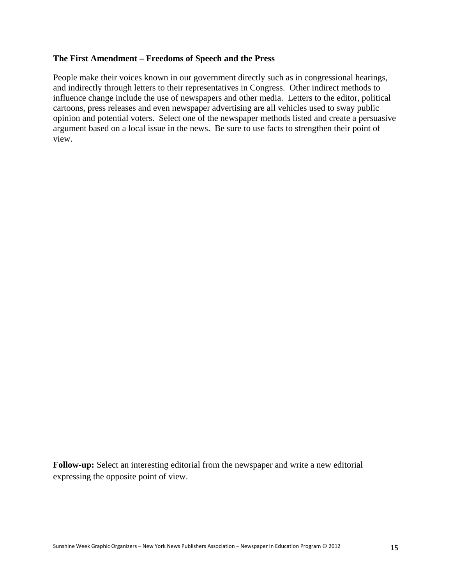#### **The First Amendment – Freedoms of Speech and the Press**

People make their voices known in our government directly such as in congressional hearings, and indirectly through letters to their representatives in Congress. Other indirect methods to influence change include the use of newspapers and other media. Letters to the editor, political cartoons, press releases and even newspaper advertising are all vehicles used to sway public opinion and potential voters. Select one of the newspaper methods listed and create a persuasive argument based on a local issue in the news. Be sure to use facts to strengthen their point of view.

**Follow-up:** Select an interesting editorial from the newspaper and write a new editorial expressing the opposite point of view.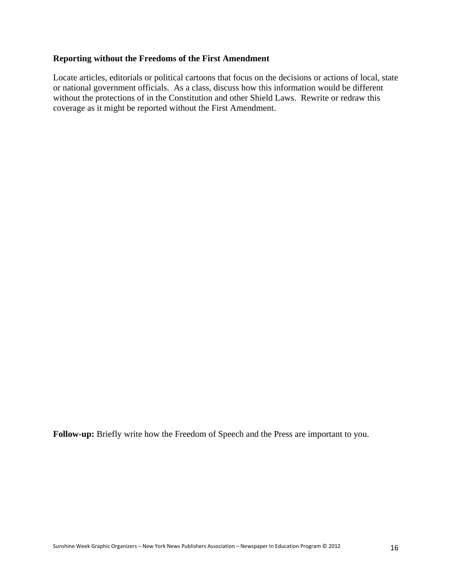#### **Reporting without the Freedoms of the First Amendment**

Locate articles, editorials or political cartoons that focus on the decisions or actions of local, state or national government officials. As a class, discuss how this information would be different without the protections of in the Constitution and other Shield Laws. Rewrite or redraw this coverage as it might be reported without the First Amendment.

**Follow-up:** Briefly write how the Freedom of Speech and the Press are important to you.